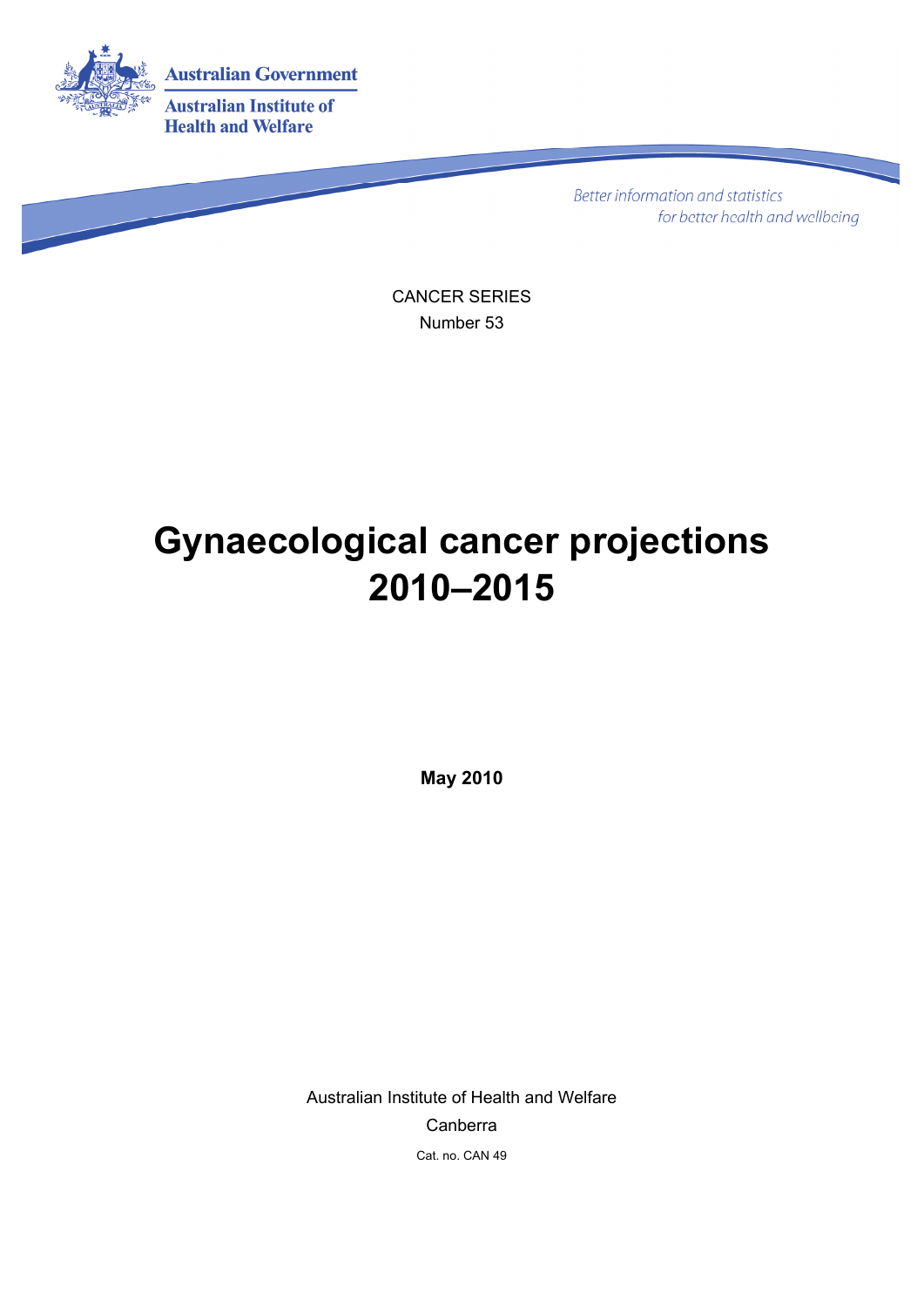

**Better information and statistics** for better health and wellbeing

CANCER SERIES Number 53

# **Gynaecological cancer projections 2010–2015**

**May 2010** 

Australian Institute of Health and Welfare Canberra Cat. no. CAN 49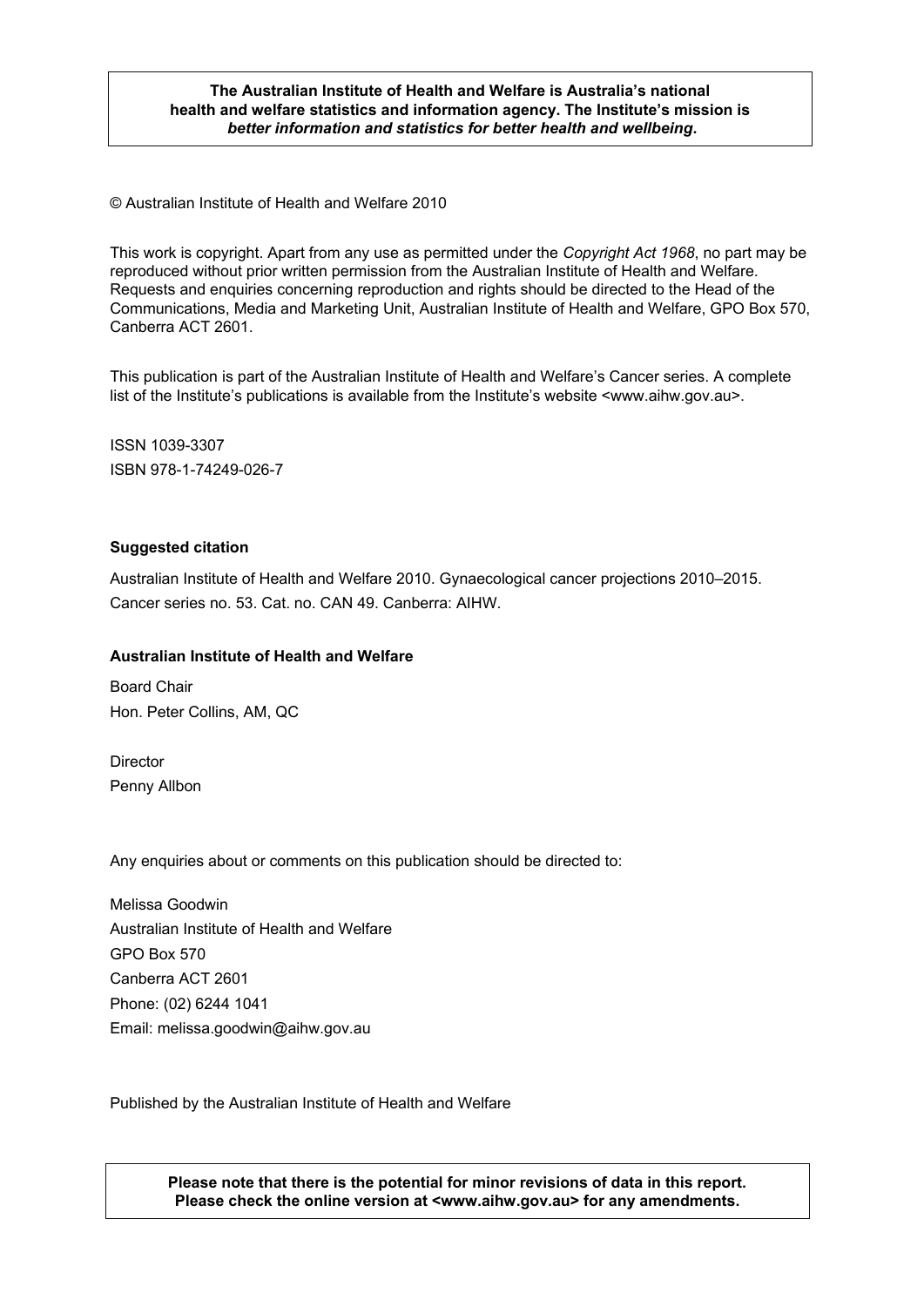#### **The Australian Institute of Health and Welfare is Australia's national health and welfare statistics and information agency. The Institute's mission is**  *better information and statistics for better health and wellbeing***.**

© Australian Institute of Health and Welfare 2010

This work is copyright. Apart from any use as permitted under the *Copyright Act 1968*, no part may be reproduced without prior written permission from the Australian Institute of Health and Welfare. Requests and enquiries concerning reproduction and rights should be directed to the Head of the Communications, Media and Marketing Unit, Australian Institute of Health and Welfare, GPO Box 570, Canberra ACT 2601.

This publication is part of the Australian Institute of Health and Welfare's Cancer series. A complete list of the Institute's publications is available from the Institute's website <www.aihw.gov.au>.

ISSN 1039-3307 ISBN 978-1-74249-026-7

#### **Suggested citation**

Australian Institute of Health and Welfare 2010. Gynaecological cancer projections 2010–2015. Cancer series no. 53. Cat. no. CAN 49. Canberra: AIHW.

#### **Australian Institute of Health and Welfare**

Board Chair Hon. Peter Collins, AM, QC

**Director** Penny Allbon

Any enquiries about or comments on this publication should be directed to:

Melissa Goodwin Australian Institute of Health and Welfare GPO Box 570 Canberra ACT 2601 Phone: (02) 6244 1041 Email: melissa.goodwin@aihw.gov.au

Published by the Australian Institute of Health and Welfare

**Please note that there is the potential for minor revisions of data in this report. Please check the online version at <www.aihw.gov.au> for any amendments.**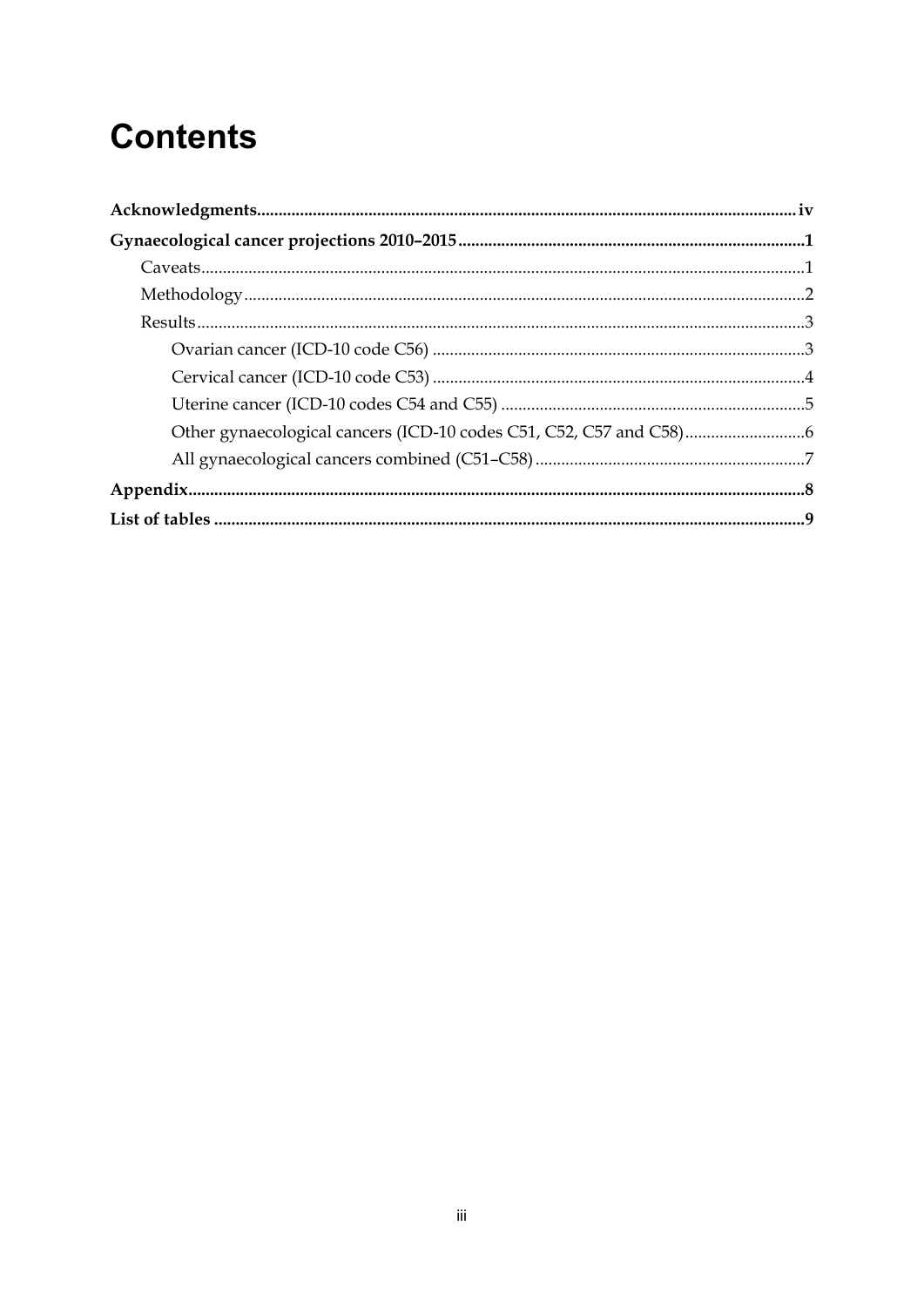# **Contents**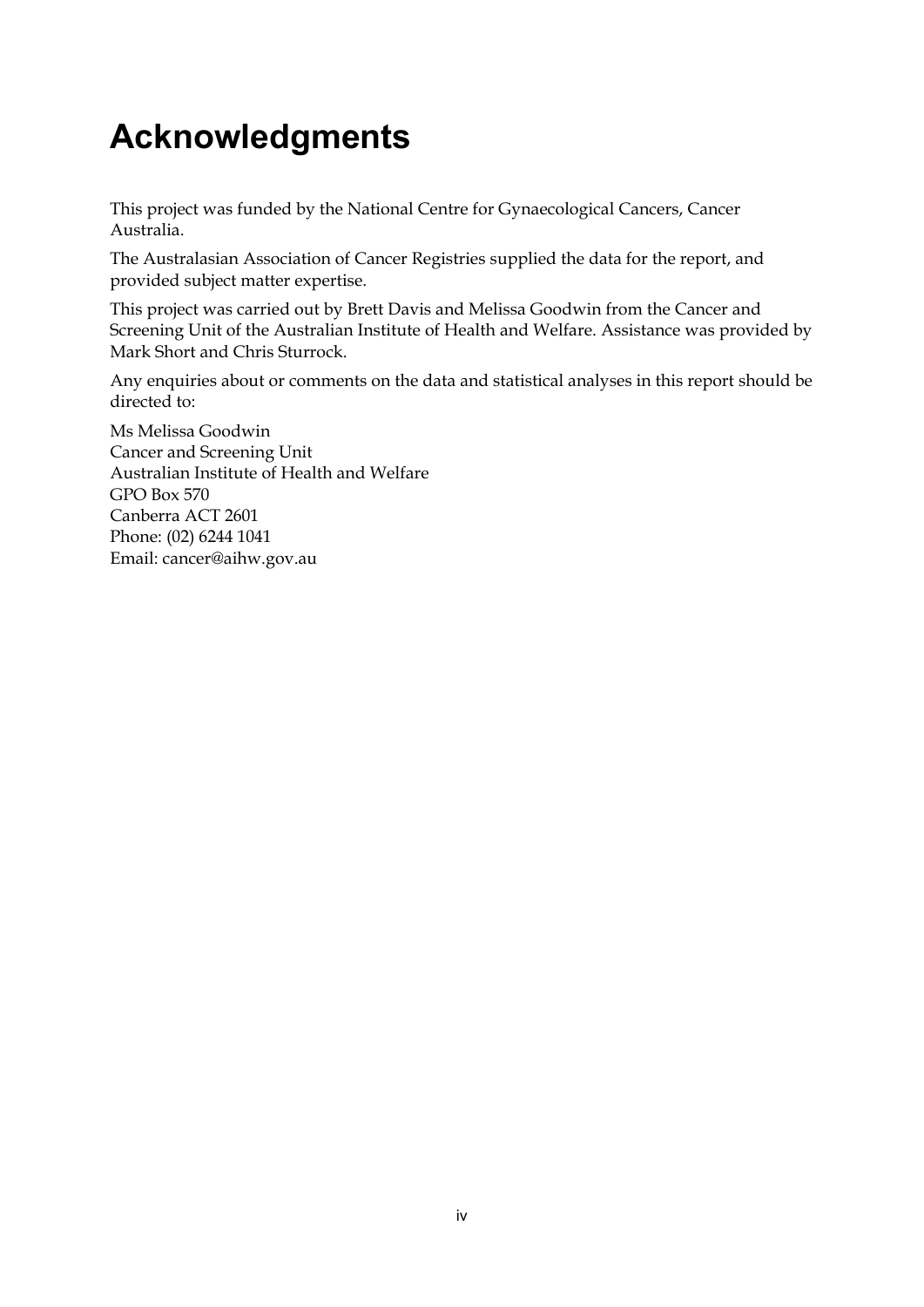# <span id="page-3-0"></span>**Acknowledgments**

This project was funded by the National Centre for Gynaecological Cancers, Cancer Australia.

The Australasian Association of Cancer Registries supplied the data for the report, and provided subject matter expertise.

This project was carried out by Brett Davis and Melissa Goodwin from the Cancer and Screening Unit of the Australian Institute of Health and Welfare. Assistance was provided by Mark Short and Chris Sturrock.

Any enquiries about or comments on the data and statistical analyses in this report should be directed to:

Ms Melissa Goodwin Cancer and Screening Unit Australian Institute of Health and Welfare GPO Box 570 Canberra ACT 2601 Phone: (02) 6244 1041 Email: cancer@aihw.gov.au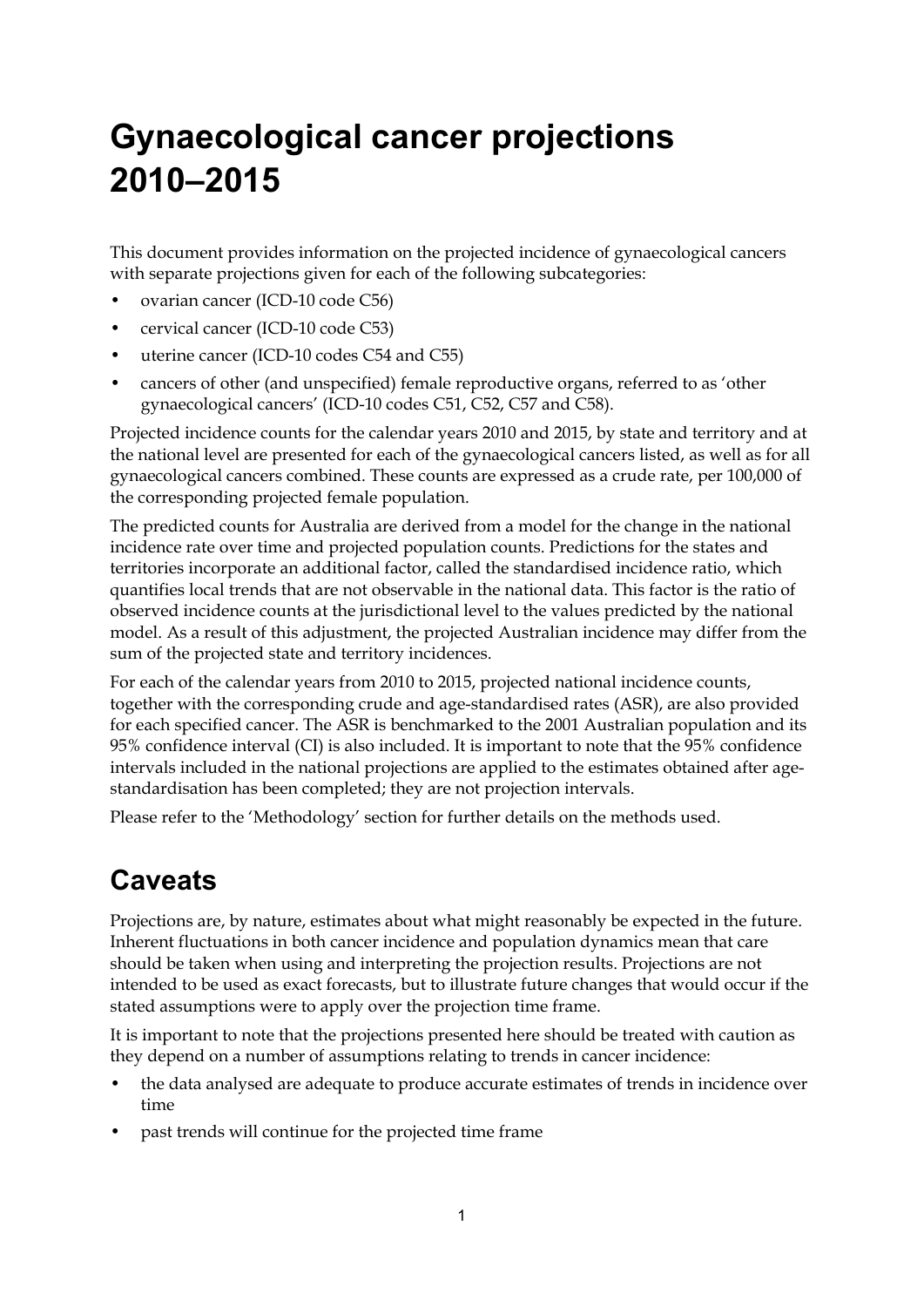# <span id="page-4-0"></span>**Gynaecological cancer projections 2010–2015**

This document provides information on the projected incidence of gynaecological cancers with separate projections given for each of the following subcategories:

- ovarian cancer (ICD-10 code C56)
- cervical cancer (ICD-10 code C53)
- uterine cancer (ICD-10 codes C54 and C55)
- cancers of other (and unspecified) female reproductive organs, referred to as 'other gynaecological cancers' (ICD-10 codes C51, C52, C57 and C58).

Projected incidence counts for the calendar years 2010 and 2015, by state and territory and at the national level are presented for each of the gynaecological cancers listed, as well as for all gynaecological cancers combined. These counts are expressed as a crude rate, per 100,000 of the corresponding projected female population.

The predicted counts for Australia are derived from a model for the change in the national incidence rate over time and projected population counts. Predictions for the states and territories incorporate an additional factor, called the standardised incidence ratio, which quantifies local trends that are not observable in the national data. This factor is the ratio of observed incidence counts at the jurisdictional level to the values predicted by the national model. As a result of this adjustment, the projected Australian incidence may differ from the sum of the projected state and territory incidences.

For each of the calendar years from 2010 to 2015, projected national incidence counts, together with the corresponding crude and age-standardised rates (ASR), are also provided for each specified cancer. The ASR is benchmarked to the 2001 Australian population and its 95% confidence interval (CI) is also included. It is important to note that the 95% confidence intervals included in the national projections are applied to the estimates obtained after agestandardisation has been completed; they are not projection intervals.

Please refer to the 'Methodology' section for further details on the methods used.

## <span id="page-4-1"></span>**Caveats**

Projections are, by nature, estimates about what might reasonably be expected in the future. Inherent fluctuations in both cancer incidence and population dynamics mean that care should be taken when using and interpreting the projection results. Projections are not intended to be used as exact forecasts, but to illustrate future changes that would occur if the stated assumptions were to apply over the projection time frame.

It is important to note that the projections presented here should be treated with caution as they depend on a number of assumptions relating to trends in cancer incidence:

- the data analysed are adequate to produce accurate estimates of trends in incidence over time
- past trends will continue for the projected time frame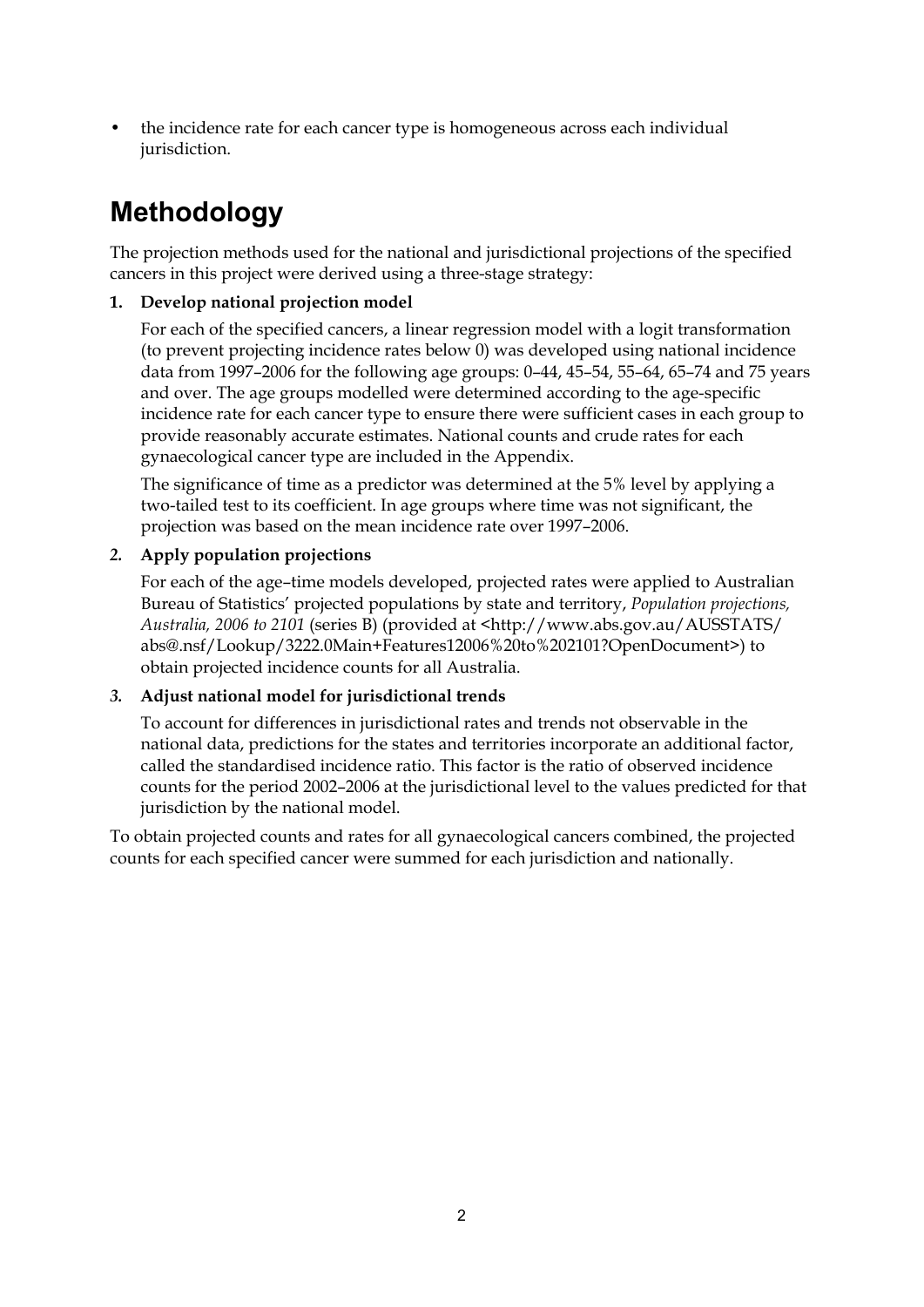• the incidence rate for each cancer type is homogeneous across each individual jurisdiction.

## <span id="page-5-0"></span>**Methodology**

The projection methods used for the national and jurisdictional projections of the specified cancers in this project were derived using a three-stage strategy:

### **1. Develop national projection model**

For each of the specified cancers, a linear regression model with a logit transformation (to prevent projecting incidence rates below 0) was developed using national incidence data from 1997–2006 for the following age groups: 0–44, 45–54, 55–64, 65–74 and 75 years and over. The age groups modelled were determined according to the age-specific incidence rate for each cancer type to ensure there were sufficient cases in each group to provide reasonably accurate estimates. National counts and crude rates for each gynaecological cancer type are included in the Appendix.

The significance of time as a predictor was determined at the 5% level by applying a two-tailed test to its coefficient. In age groups where time was not significant, the projection was based on the mean incidence rate over 1997–2006.

### *2.* **Apply population projections**

For each of the age–time models developed, projected rates were applied to Australian Bureau of Statistics' projected populations by state and territory, *Population projections, Australia, 2006 to 2101* (series B) (provided at [<http://www.abs.gov.au/AUSSTATS/](http://www.abs.gov.au/AUSSTATS/ abs@.nsf/Lookup/3222.0Main+Features12006 to 2101?OpenDocument)  [abs@.nsf/Lookup/3222.0Main+Features12006%20to%202101?OpenDocument](http://www.abs.gov.au/AUSSTATS/ abs@.nsf/Lookup/3222.0Main+Features12006 to 2101?OpenDocument)>) to obtain projected incidence counts for all Australia.

### *3.* **Adjust national model for jurisdictional trends**

To account for differences in jurisdictional rates and trends not observable in the national data, predictions for the states and territories incorporate an additional factor, called the standardised incidence ratio. This factor is the ratio of observed incidence counts for the period 2002–2006 at the jurisdictional level to the values predicted for that jurisdiction by the national model.

To obtain projected counts and rates for all gynaecological cancers combined, the projected counts for each specified cancer were summed for each jurisdiction and nationally.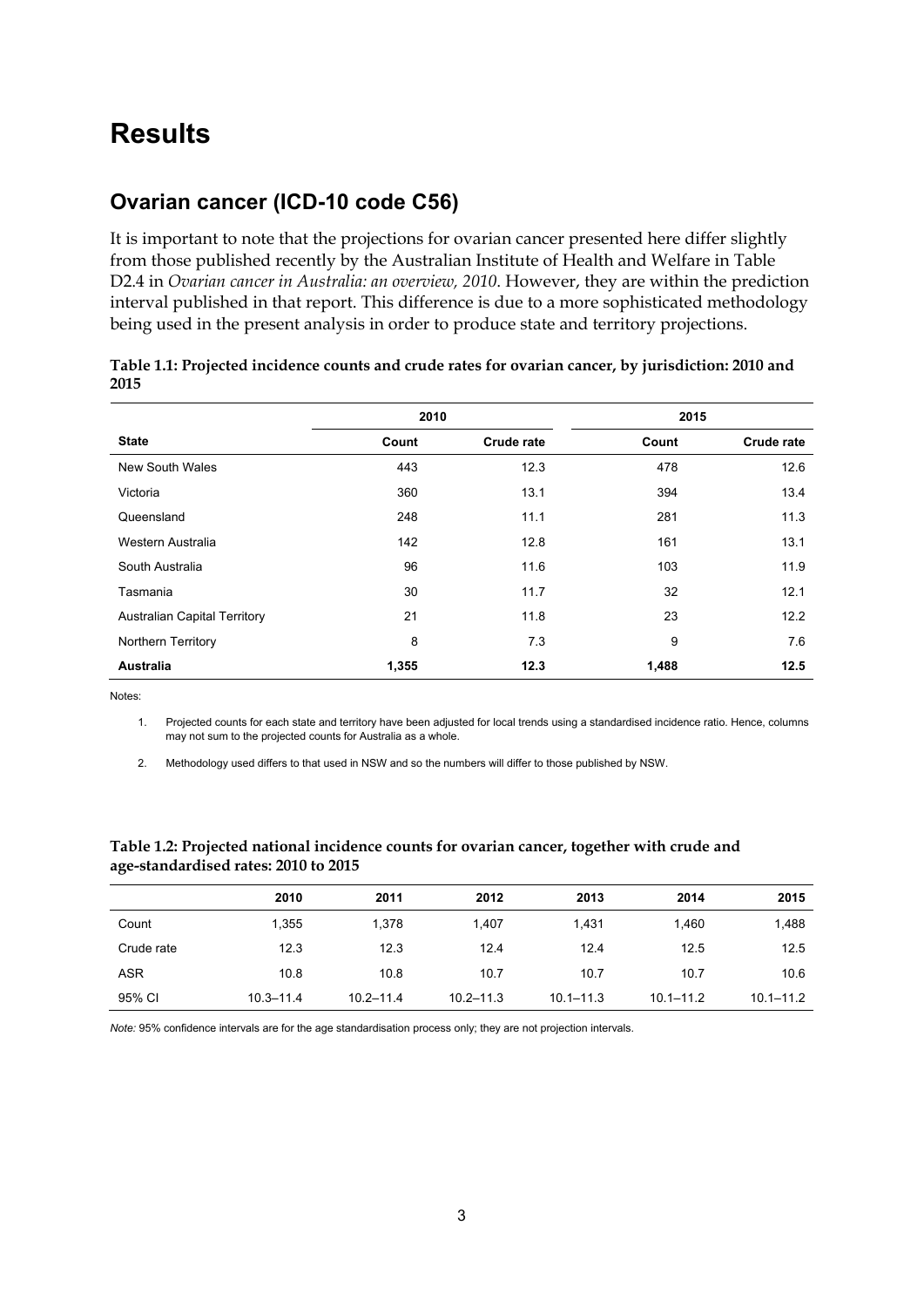## <span id="page-6-0"></span>**Results**

## <span id="page-6-1"></span>**Ovarian cancer (ICD-10 code C56)**

It is important to note that the projections for ovarian cancer presented here differ slightly from those published recently by the Australian Institute of Health and Welfare in Table D2.4 in *[Ovarian cancer in Australia: an overview, 2010](http://www.aihw.gov.au/publications/index.cfm/title/11158)*. However, they are within the prediction interval published in that report. This difference is due to a more sophisticated methodology being used in the present analysis in order to produce state and territory projections.

|                                     | 2010  |            | 2015  |                   |
|-------------------------------------|-------|------------|-------|-------------------|
| <b>State</b>                        | Count | Crude rate | Count | <b>Crude rate</b> |
| New South Wales                     | 443   | 12.3       | 478   | 12.6              |
| Victoria                            | 360   | 13.1       | 394   | 13.4              |
| Queensland                          | 248   | 11.1       | 281   | 11.3              |
| Western Australia                   | 142   | 12.8       | 161   | 13.1              |
| South Australia                     | 96    | 11.6       | 103   | 11.9              |
| Tasmania                            | 30    | 11.7       | 32    | 12.1              |
| <b>Australian Capital Territory</b> | 21    | 11.8       | 23    | 12.2              |
| Northern Territory                  | 8     | 7.3        | 9     | 7.6               |
| <b>Australia</b>                    | 1,355 | 12.3       | 1,488 | 12.5              |

#### <span id="page-6-2"></span>**Table 1.1: Projected incidence counts and crude rates for ovarian cancer, by jurisdiction: 2010 and 2015**

Notes:

1. Projected counts for each state and territory have been adjusted for local trends using a standardised incidence ratio. Hence, columns may not sum to the projected counts for Australia as a whole.

2. Methodology used differs to that used in NSW and so the numbers will differ to those published by NSW.

|            | 2010          | 2011          | 2012          | 2013          | 2014          | 2015          |
|------------|---------------|---------------|---------------|---------------|---------------|---------------|
| Count      | 1,355         | 1.378         | 1.407         | 1.431         | 1.460         | 1,488         |
| Crude rate | 12.3          | 12.3          | 12.4          | 12.4          | 12.5          | 12.5          |
| <b>ASR</b> | 10.8          | 10.8          | 10.7          | 10.7          | 10.7          | 10.6          |
| 95% CI     | $10.3 - 11.4$ | $10.2 - 11.4$ | $10.2 - 11.3$ | $10.1 - 11.3$ | $10.1 - 11.2$ | $10.1 - 11.2$ |

#### <span id="page-6-3"></span>**Table 1.2: Projected national incidence counts for ovarian cancer, together with crude and age-standardised rates: 2010 to 2015**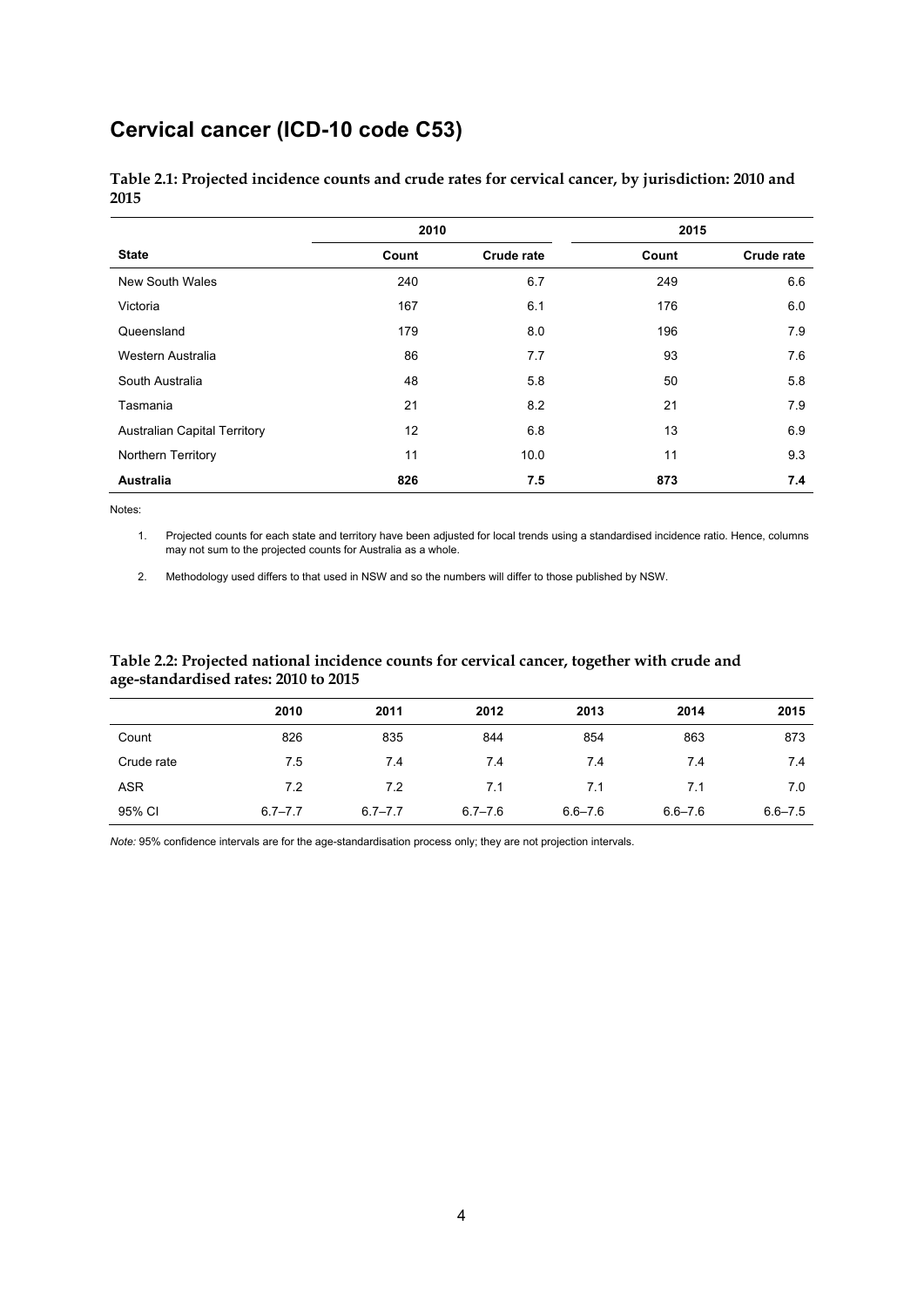## <span id="page-7-0"></span>**Cervical cancer (ICD-10 code C53)**

|                                     | 2010  |                   | 2015  |            |
|-------------------------------------|-------|-------------------|-------|------------|
| <b>State</b>                        | Count | <b>Crude rate</b> | Count | Crude rate |
| New South Wales                     | 240   | 6.7               | 249   | 6.6        |
| Victoria                            | 167   | 6.1               | 176   | 6.0        |
| Queensland                          | 179   | 8.0               | 196   | 7.9        |
| Western Australia                   | 86    | 7.7               | 93    | 7.6        |
| South Australia                     | 48    | 5.8               | 50    | 5.8        |
| Tasmania                            | 21    | 8.2               | 21    | 7.9        |
| <b>Australian Capital Territory</b> | 12    | 6.8               | 13    | 6.9        |
| Northern Territory                  | 11    | 10.0              | 11    | 9.3        |
| <b>Australia</b>                    | 826   | 7.5               | 873   | 7.4        |

<span id="page-7-1"></span>**Table 2.1: Projected incidence counts and crude rates for cervical cancer, by jurisdiction: 2010 and 2015** 

Notes:

1. Projected counts for each state and territory have been adjusted for local trends using a standardised incidence ratio. Hence, columns may not sum to the projected counts for Australia as a whole.

2. Methodology used differs to that used in NSW and so the numbers will differ to those published by NSW.

#### <span id="page-7-2"></span>**Table 2.2: Projected national incidence counts for cervical cancer, together with crude and age-standardised rates: 2010 to 2015**

|            | 2010        | 2011        | 2012        | 2013        | 2014        | 2015        |
|------------|-------------|-------------|-------------|-------------|-------------|-------------|
| Count      | 826         | 835         | 844         | 854         | 863         | 873         |
| Crude rate | 7.5         | 7.4         | 7.4         | 7.4         | 7.4         | 7.4         |
| <b>ASR</b> | 7.2         | 7.2         | 7.1         | 7.1         | 7.1         | 7.0         |
| 95% CI     | $6.7 - 7.7$ | $6.7 - 7.7$ | $6.7 - 7.6$ | $6.6 - 7.6$ | $6.6 - 7.6$ | $6.6 - 7.5$ |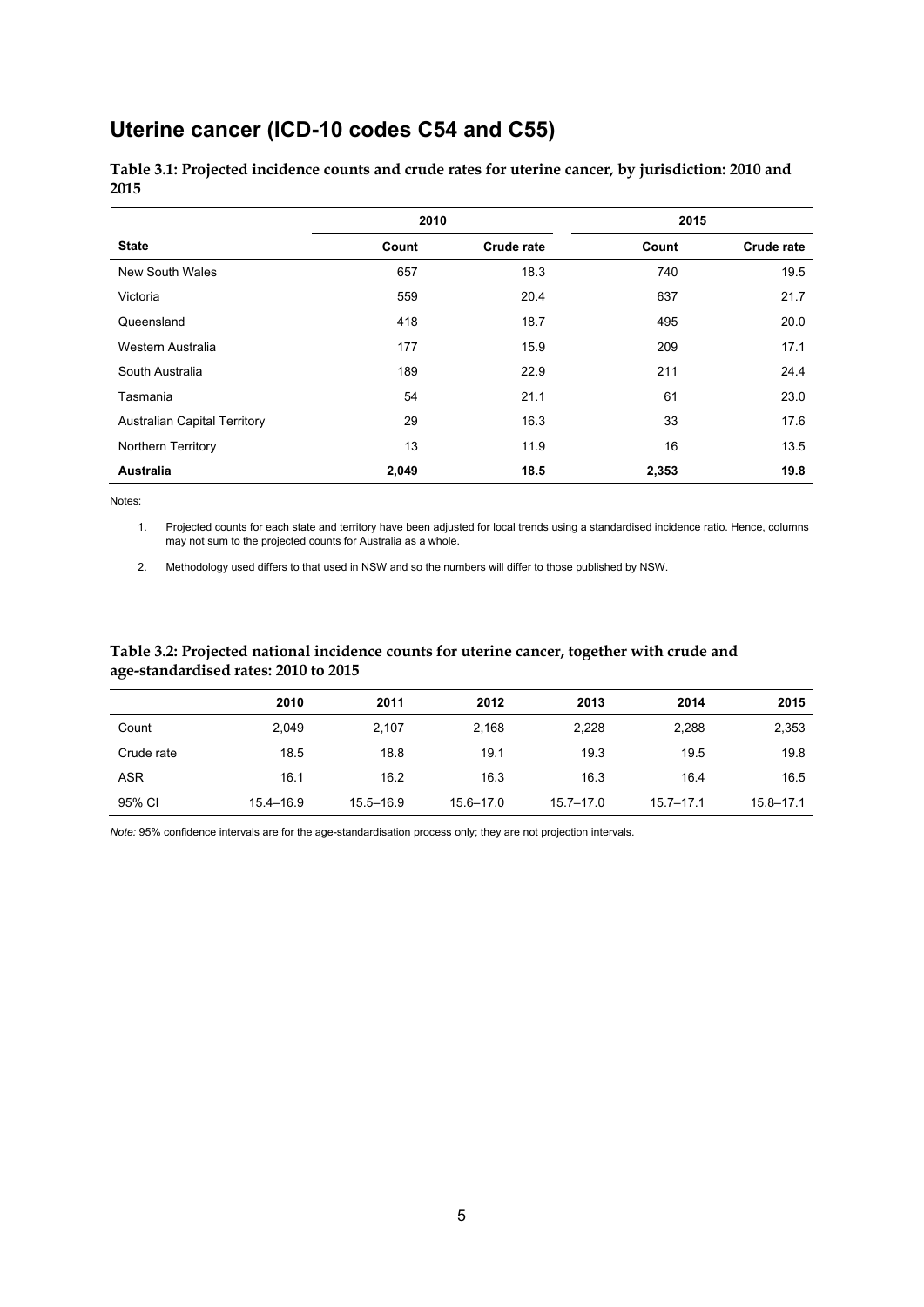## <span id="page-8-0"></span>**Uterine cancer (ICD-10 codes C54 and C55)**

<span id="page-8-1"></span>**Table 3.1: Projected incidence counts and crude rates for uterine cancer, by jurisdiction: 2010 and 2015** 

|                                     | 2010  |            | 2015  |            |  |
|-------------------------------------|-------|------------|-------|------------|--|
| <b>State</b>                        | Count | Crude rate | Count | Crude rate |  |
| New South Wales                     | 657   | 18.3       | 740   | 19.5       |  |
| Victoria                            | 559   | 20.4       | 637   | 21.7       |  |
| Queensland                          | 418   | 18.7       | 495   | 20.0       |  |
| Western Australia                   | 177   | 15.9       | 209   | 17.1       |  |
| South Australia                     | 189   | 22.9       | 211   | 24.4       |  |
| Tasmania                            | 54    | 21.1       | 61    | 23.0       |  |
| <b>Australian Capital Territory</b> | 29    | 16.3       | 33    | 17.6       |  |
| Northern Territory                  | 13    | 11.9       | 16    | 13.5       |  |
| <b>Australia</b>                    | 2,049 | 18.5       | 2,353 | 19.8       |  |

Notes:

1. Projected counts for each state and territory have been adjusted for local trends using a standardised incidence ratio. Hence, columns may not sum to the projected counts for Australia as a whole.

2. Methodology used differs to that used in NSW and so the numbers will differ to those published by NSW.

#### <span id="page-8-2"></span>**Table 3.2: Projected national incidence counts for uterine cancer, together with crude and age-standardised rates: 2010 to 2015**

|            | 2010          | 2011          | 2012          | 2013          | 2014          | 2015          |
|------------|---------------|---------------|---------------|---------------|---------------|---------------|
| Count      | 2,049         | 2,107         | 2,168         | 2,228         | 2,288         | 2,353         |
| Crude rate | 18.5          | 18.8          | 19.1          | 19.3          | 19.5          | 19.8          |
| ASR        | 16.1          | 16.2          | 16.3          | 16.3          | 16.4          | 16.5          |
| 95% CI     | $15.4 - 16.9$ | $15.5 - 16.9$ | $15.6 - 17.0$ | $15.7 - 17.0$ | $15.7 - 17.1$ | $15.8 - 17.1$ |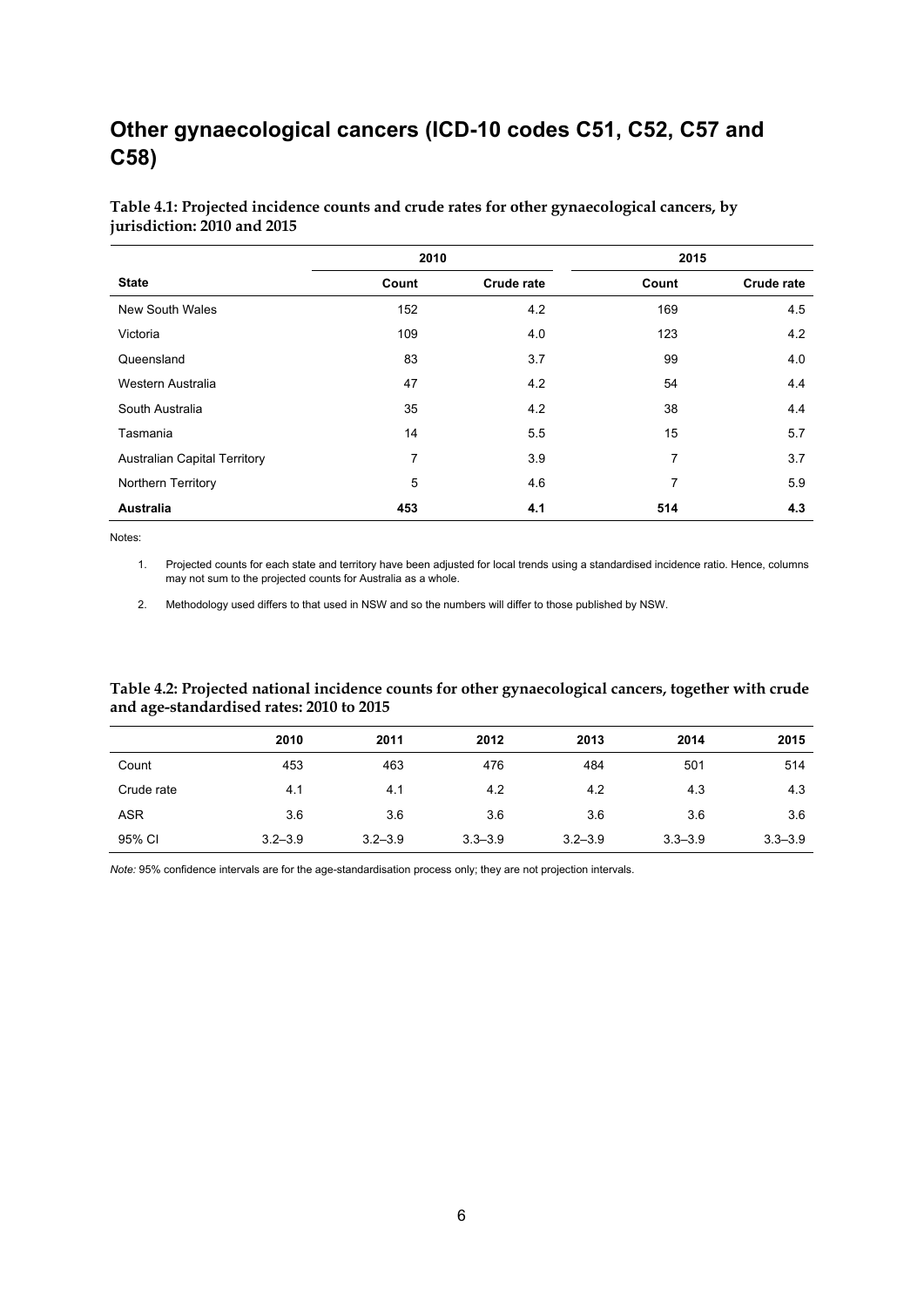## <span id="page-9-0"></span>**Other gynaecological cancers (ICD-10 codes C51, C52, C57 and C58)**

|                                     | 2010  |                   |       | 2015       |
|-------------------------------------|-------|-------------------|-------|------------|
| <b>State</b>                        | Count | <b>Crude rate</b> | Count | Crude rate |
| New South Wales                     | 152   | 4.2               | 169   | 4.5        |
| Victoria                            | 109   | 4.0               | 123   | 4.2        |
| Queensland                          | 83    | 3.7               | 99    | 4.0        |
| Western Australia                   | 47    | 4.2               | 54    | 4.4        |
| South Australia                     | 35    | 4.2               | 38    | 4.4        |
| Tasmania                            | 14    | 5.5               | 15    | 5.7        |
| <b>Australian Capital Territory</b> | 7     | 3.9               | 7     | 3.7        |
| Northern Territory                  | 5     | 4.6               | 7     | 5.9        |
| <b>Australia</b>                    | 453   | 4.1               | 514   | 4.3        |

#### <span id="page-9-1"></span>**Table 4.1: Projected incidence counts and crude rates for other gynaecological cancers, by jurisdiction: 2010 and 2015**

Notes:

1. Projected counts for each state and territory have been adjusted for local trends using a standardised incidence ratio. Hence, columns may not sum to the projected counts for Australia as a whole.

2. Methodology used differs to that used in NSW and so the numbers will differ to those published by NSW.

#### <span id="page-9-2"></span>**Table 4.2: Projected national incidence counts for other gynaecological cancers, together with crude and age-standardised rates: 2010 to 2015**

|            | 2010        | 2011        | 2012        | 2013        | 2014        | 2015        |
|------------|-------------|-------------|-------------|-------------|-------------|-------------|
| Count      | 453         | 463         | 476         | 484         | 501         | 514         |
| Crude rate | 4.1         | 4.1         | 4.2         | 4.2         | 4.3         | 4.3         |
| <b>ASR</b> | 3.6         | 3.6         | 3.6         | 3.6         | 3.6         | 3.6         |
| 95% CI     | $3.2 - 3.9$ | $3.2 - 3.9$ | $3.3 - 3.9$ | $3.2 - 3.9$ | $3.3 - 3.9$ | $3.3 - 3.9$ |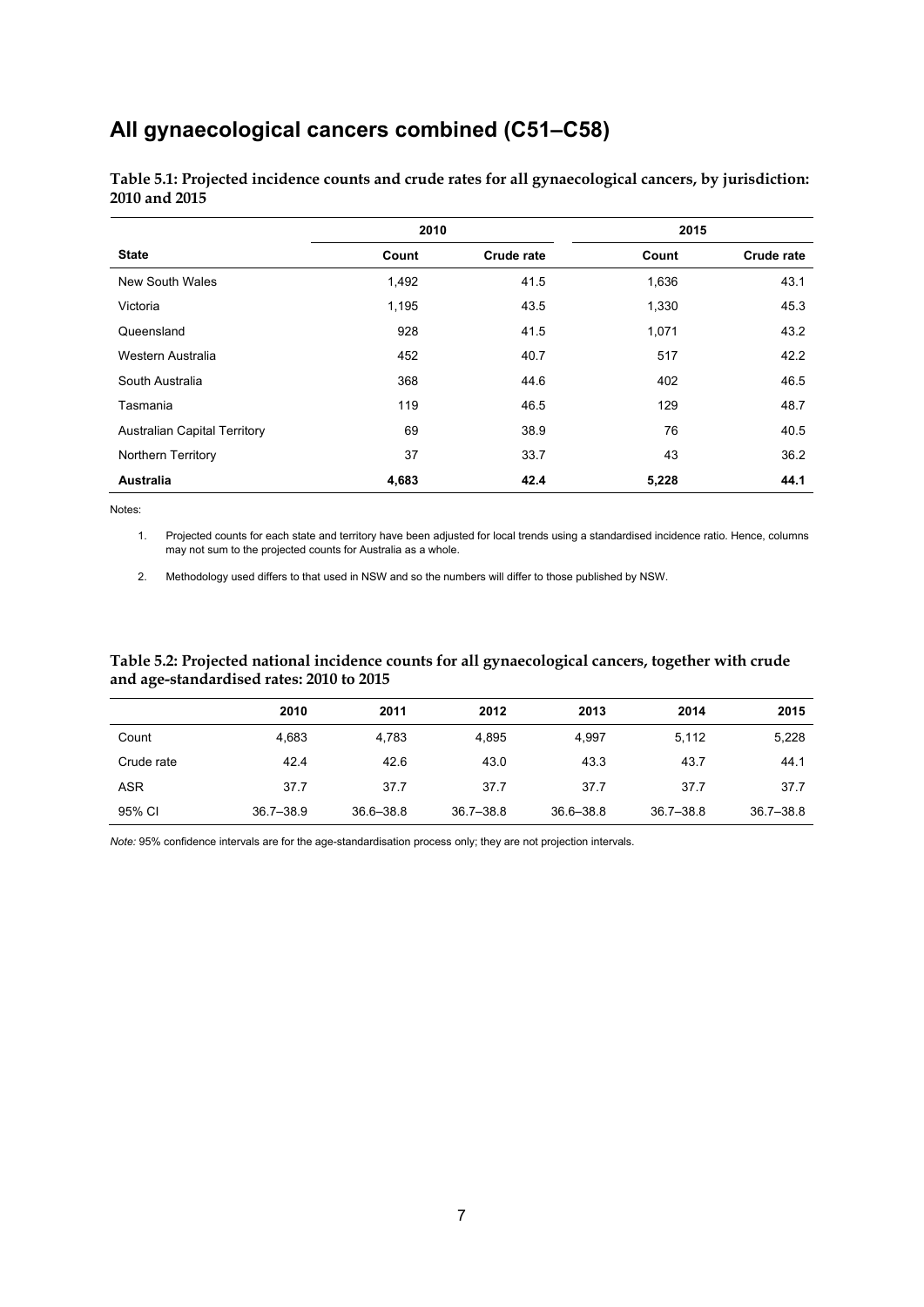## <span id="page-10-0"></span>**All gynaecological cancers combined (C51–C58)**

|                                     | 2010  |                   |       | 2015              |
|-------------------------------------|-------|-------------------|-------|-------------------|
| <b>State</b>                        | Count | <b>Crude rate</b> | Count | <b>Crude rate</b> |
| <b>New South Wales</b>              | 1,492 | 41.5              | 1,636 | 43.1              |
| Victoria                            | 1,195 | 43.5              | 1,330 | 45.3              |
| Queensland                          | 928   | 41.5              | 1,071 | 43.2              |
| Western Australia                   | 452   | 40.7              | 517   | 42.2              |
| South Australia                     | 368   | 44.6              | 402   | 46.5              |
| Tasmania                            | 119   | 46.5              | 129   | 48.7              |
| <b>Australian Capital Territory</b> | 69    | 38.9              | 76    | 40.5              |
| Northern Territory                  | 37    | 33.7              | 43    | 36.2              |
| <b>Australia</b>                    | 4,683 | 42.4              | 5,228 | 44.1              |

<span id="page-10-1"></span>**Table 5.1: Projected incidence counts and crude rates for all gynaecological cancers, by jurisdiction: 2010 and 2015** 

Notes:

1. Projected counts for each state and territory have been adjusted for local trends using a standardised incidence ratio. Hence, columns may not sum to the projected counts for Australia as a whole.

2. Methodology used differs to that used in NSW and so the numbers will differ to those published by NSW.

#### <span id="page-10-2"></span>**Table 5.2: Projected national incidence counts for all gynaecological cancers, together with crude and age-standardised rates: 2010 to 2015**

|            | 2010          | 2011          | 2012          | 2013          | 2014          | 2015          |
|------------|---------------|---------------|---------------|---------------|---------------|---------------|
| Count      | 4.683         | 4.783         | 4.895         | 4.997         | 5,112         | 5,228         |
| Crude rate | 42.4          | 42.6          | 43.0          | 43.3          | 43.7          | 44.1          |
| ASR        | 37.7          | 37.7          | 37.7          | 37.7          | 37.7          | 37.7          |
| 95% CI     | $36.7 - 38.9$ | $36.6 - 38.8$ | $36.7 - 38.8$ | $36.6 - 38.8$ | $36.7 - 38.8$ | $36.7 - 38.8$ |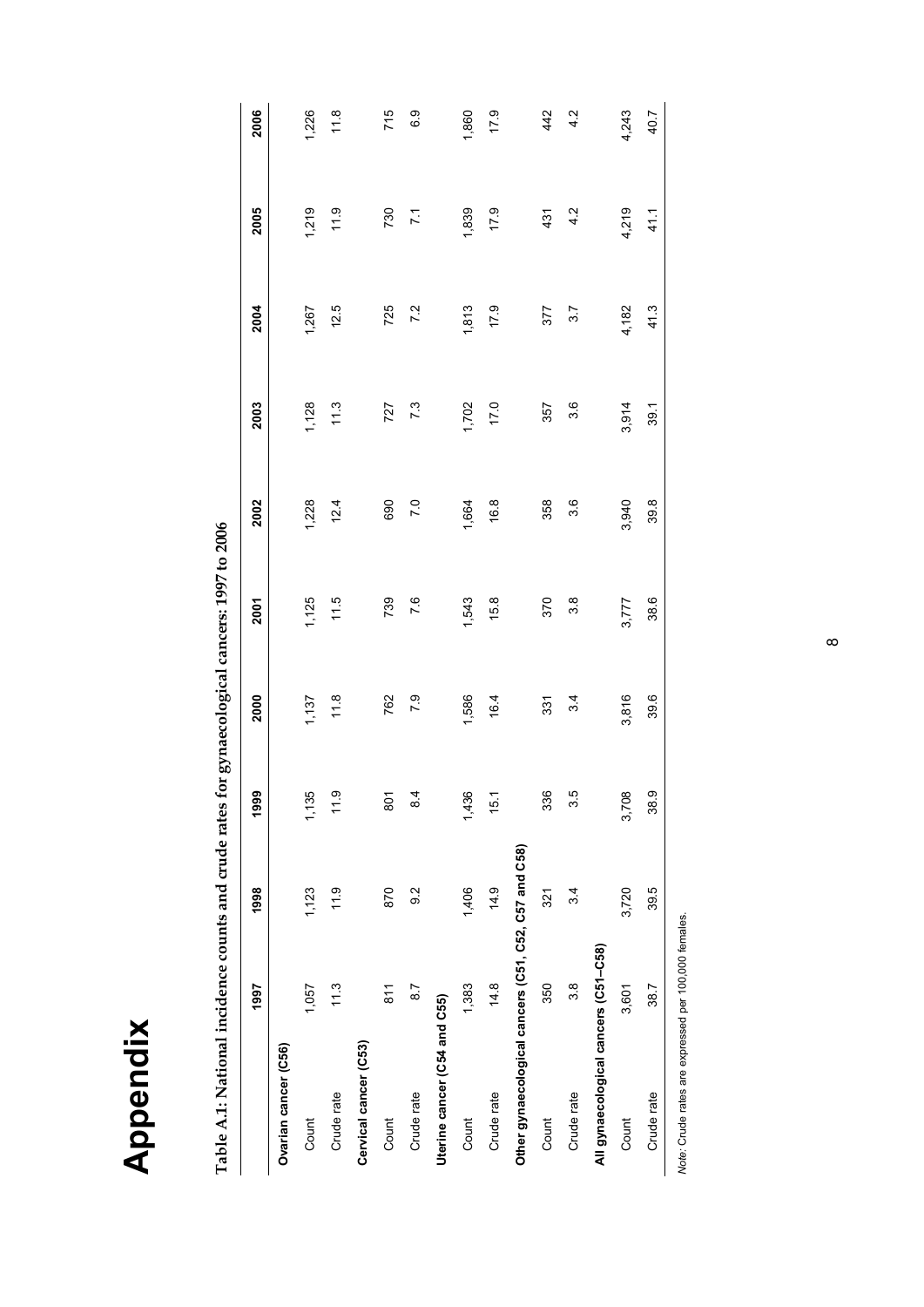| ß<br>a |
|--------|
|        |
|        |
| E      |
|        |

| $\sim$                                                                  |
|-------------------------------------------------------------------------|
| .<br>2                                                                  |
|                                                                         |
| $\cdots$ $\cdots$ $\cdots$ $\cdots$ $\cdots$ $\cdots$ $\cdots$ $\cdots$ |
|                                                                         |
|                                                                         |
| フィンデーション                                                                |
|                                                                         |
| )                                                                       |
|                                                                         |
|                                                                         |
| ì                                                                       |
|                                                                         |
|                                                                         |
|                                                                         |
|                                                                         |
|                                                                         |
|                                                                         |
|                                                                         |
|                                                                         |
|                                                                         |
|                                                                         |
|                                                                         |
|                                                                         |
|                                                                         |
|                                                                         |
|                                                                         |
| tional incidence counts and crude rates for gynaecological cancer       |
|                                                                         |
|                                                                         |
|                                                                         |
| יידר דרי<br>י<br>ד                                                      |
|                                                                         |
| $\overline{\cdot}$<br>i                                                 |
|                                                                         |

<span id="page-11-1"></span><span id="page-11-0"></span>

|                                                      | 1997             | 1998             | 1999          | 2000  | 2001  | 2002  | 2003  | 2004  | 2005           | 2006  |
|------------------------------------------------------|------------------|------------------|---------------|-------|-------|-------|-------|-------|----------------|-------|
| Ovarian cancer (C56)                                 |                  |                  |               |       |       |       |       |       |                |       |
| Count                                                | 1,057            | 1,123            | 1,135         | 1,137 | 1,125 | 1,228 | 1,128 | 1,267 | 1,219          | 1,226 |
| Crude rate                                           | 11.3             | 11.9             | 11.9          | 11.8  | 11.5  | 12.4  | 11.3  | 12.5  | 11.9           | 11.8  |
| Cervical cancer (C53)                                |                  |                  |               |       |       |       |       |       |                |       |
| Count                                                | $\frac{81}{1}$   | 870              | 801           | 762   | 739   | 690   | 727   | 725   | 730            | 715   |
| Crude rate                                           | 8.7              | $\overline{9}$ 2 | $\frac{4}{3}$ | 7.9   | 7.6   | 7.0   | 7.3   | 7.2   | $\overline{7}$ | 6.9   |
| Uterine cancer (C54 and C55)                         |                  |                  |               |       |       |       |       |       |                |       |
| Count                                                | 1,383            | 1,406            | 1,436         | 1,586 | 1,543 | 1,664 | 1,702 | 1,813 | 1,839          | 1,860 |
| Crude rate                                           | 14.8             | 14.9             | 15.1          | 16.4  | 15.8  | 16.8  | 17.0  | 17.9  | 17.9           | 17.9  |
| Other gynaecological cancers (C51, C52, C57 and C58) |                  |                  |               |       |       |       |       |       |                |       |
| Count                                                | 350              | 321              | 336           | 331   | 370   | 358   | 357   | 377   | 431            | 442   |
| Crude rate                                           | $3.\overline{8}$ | 3.4              | 35            | 34    | 3.8   | 3.6   | 3.6   | 3.7   | 4.2            | 4.2   |
| All gynaecological cancers (C51-C58)                 |                  |                  |               |       |       |       |       |       |                |       |
| Count                                                | 3,601            | 3,720            | 3,708         | 3,816 | 3,777 | 3,940 | 3,914 | 4,182 | 4,219          | 4,243 |
| Crude rate                                           | 38.7             | 39.5             | 38.9          | 39.6  | 38.6  | 39.8  | 39.1  | 41.3  | 41.1           | 40.7  |
|                                                      |                  |                  |               |       |       |       |       |       |                |       |

Note: Crude rates are expressed per 100,000 females. *Note:* Crude rates are expressed per 100,000 females.